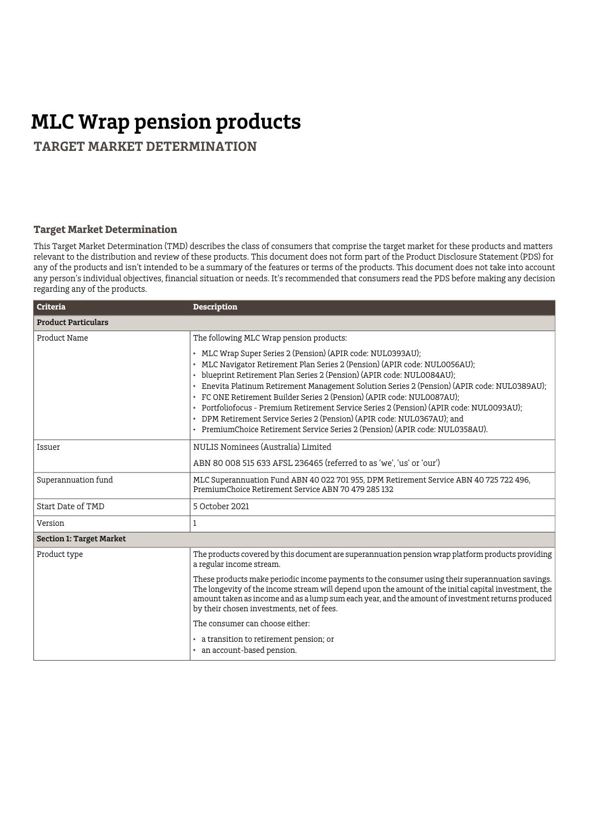## **MLC Wrap pension products**

 **TARGET MARKET DETERMINATION**

## **Target Market Determination**

This Target Market Determination (TMD) describes the class of consumers that comprise the target market for these products and matters relevant to the distribution and review of these products. This document does not form part of the Product Disclosure Statement (PDS) for any of the products and isn't intended to be a summary of the features or terms of the products. This document does not take into account any person's individual objectives, financial situation or needs. It's recommended that consumers read the PDS before making any decision regarding any of the products.

| <b>Criteria</b>                 | <b>Description</b>                                                                                                                                                                                                                                                                                                                                                                                                                                                                                                                                                                                                                                    |  |
|---------------------------------|-------------------------------------------------------------------------------------------------------------------------------------------------------------------------------------------------------------------------------------------------------------------------------------------------------------------------------------------------------------------------------------------------------------------------------------------------------------------------------------------------------------------------------------------------------------------------------------------------------------------------------------------------------|--|
| <b>Product Particulars</b>      |                                                                                                                                                                                                                                                                                                                                                                                                                                                                                                                                                                                                                                                       |  |
| Product Name                    | The following MLC Wrap pension products:                                                                                                                                                                                                                                                                                                                                                                                                                                                                                                                                                                                                              |  |
|                                 | • MLC Wrap Super Series 2 (Pension) (APIR code: NUL0393AU);<br>• MLC Navigator Retirement Plan Series 2 (Pension) (APIR code: NUL0056AU);<br>• blueprint Retirement Plan Series 2 (Pension) (APIR code: NUL0084AU);<br>• Enevita Platinum Retirement Management Solution Series 2 (Pension) (APIR code: NUL0389AU);<br>• FC ONE Retirement Builder Series 2 (Pension) (APIR code: NUL0087AU);<br>• Portfoliofocus - Premium Retirement Service Series 2 (Pension) (APIR code: NUL0093AU):<br>• DPM Retirement Service Series 2 (Pension) (APIR code: NUL0367AU); and<br>• PremiumChoice Retirement Service Series 2 (Pension) (APIR code: NULO358AU). |  |
| Issuer                          | NULIS Nominees (Australia) Limited                                                                                                                                                                                                                                                                                                                                                                                                                                                                                                                                                                                                                    |  |
|                                 | ABN 80 008 515 633 AFSL 236465 (referred to as 'we', 'us' or 'our')                                                                                                                                                                                                                                                                                                                                                                                                                                                                                                                                                                                   |  |
| Superannuation fund             | MLC Superannuation Fund ABN 40 022 701 955, DPM Retirement Service ABN 40 725 722 496,<br>PremiumChoice Retirement Service ABN 70 479 285 132                                                                                                                                                                                                                                                                                                                                                                                                                                                                                                         |  |
| Start Date of TMD               | 5 October 2021                                                                                                                                                                                                                                                                                                                                                                                                                                                                                                                                                                                                                                        |  |
| Version                         | 1                                                                                                                                                                                                                                                                                                                                                                                                                                                                                                                                                                                                                                                     |  |
| <b>Section 1: Target Market</b> |                                                                                                                                                                                                                                                                                                                                                                                                                                                                                                                                                                                                                                                       |  |
| Product type                    | The products covered by this document are superannuation pension wrap platform products providing<br>a regular income stream.                                                                                                                                                                                                                                                                                                                                                                                                                                                                                                                         |  |
|                                 | These products make periodic income payments to the consumer using their superannuation savings.<br>The longevity of the income stream will depend upon the amount of the initial capital investment, the<br>amount taken as income and as a lump sum each year, and the amount of investment returns produced<br>by their chosen investments, net of fees.                                                                                                                                                                                                                                                                                           |  |
|                                 | The consumer can choose either:                                                                                                                                                                                                                                                                                                                                                                                                                                                                                                                                                                                                                       |  |
|                                 | • a transition to retirement pension; or<br>• an account-based pension.                                                                                                                                                                                                                                                                                                                                                                                                                                                                                                                                                                               |  |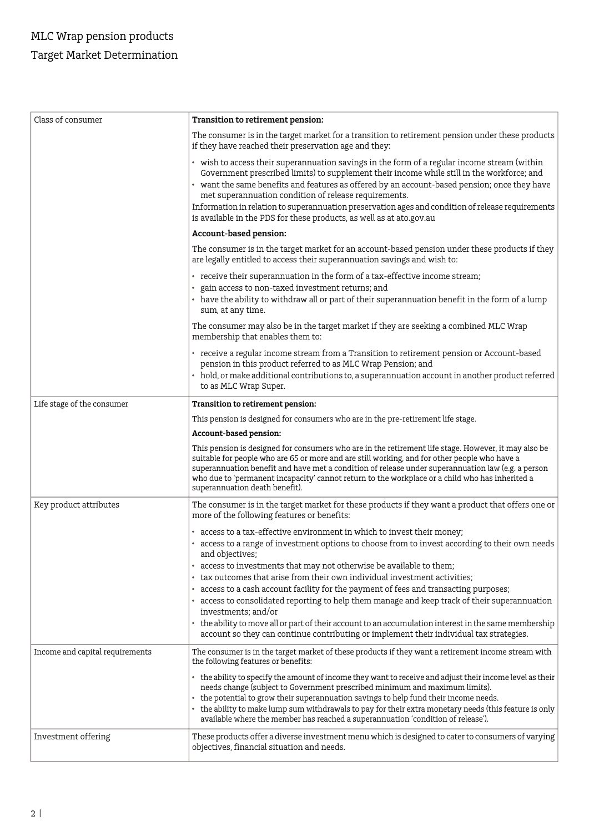| Class of consumer               | Transition to retirement pension:                                                                                                                                                                                                                                                                                                                                                                                                                                                                                                                                   |
|---------------------------------|---------------------------------------------------------------------------------------------------------------------------------------------------------------------------------------------------------------------------------------------------------------------------------------------------------------------------------------------------------------------------------------------------------------------------------------------------------------------------------------------------------------------------------------------------------------------|
|                                 | The consumer is in the target market for a transition to retirement pension under these products<br>if they have reached their preservation age and they:                                                                                                                                                                                                                                                                                                                                                                                                           |
|                                 | • wish to access their superannuation savings in the form of a regular income stream (within<br>Government prescribed limits) to supplement their income while still in the workforce; and<br>• want the same benefits and features as offered by an account-based pension; once they have<br>met superannuation condition of release requirements.<br>Information in relation to superannuation preservation ages and condition of release requirements<br>is available in the PDS for these products, as well as at ato.gov.au                                    |
|                                 | Account-based pension:                                                                                                                                                                                                                                                                                                                                                                                                                                                                                                                                              |
|                                 | The consumer is in the target market for an account-based pension under these products if they<br>are legally entitled to access their superannuation savings and wish to:                                                                                                                                                                                                                                                                                                                                                                                          |
|                                 | • receive their superannuation in the form of a tax-effective income stream;<br>gain access to non-taxed investment returns; and<br>• have the ability to withdraw all or part of their superannuation benefit in the form of a lump<br>sum, at any time.                                                                                                                                                                                                                                                                                                           |
|                                 | The consumer may also be in the target market if they are seeking a combined MLC Wrap<br>membership that enables them to:                                                                                                                                                                                                                                                                                                                                                                                                                                           |
|                                 | • receive a regular income stream from a Transition to retirement pension or Account-based<br>pension in this product referred to as MLC Wrap Pension; and<br>• hold, or make additional contributions to, a superannuation account in another product referred<br>to as MLC Wrap Super.                                                                                                                                                                                                                                                                            |
| Life stage of the consumer      | Transition to retirement pension:                                                                                                                                                                                                                                                                                                                                                                                                                                                                                                                                   |
|                                 | This pension is designed for consumers who are in the pre-retirement life stage.                                                                                                                                                                                                                                                                                                                                                                                                                                                                                    |
|                                 | Account-based pension:                                                                                                                                                                                                                                                                                                                                                                                                                                                                                                                                              |
|                                 | This pension is designed for consumers who are in the retirement life stage. However, it may also be<br>suitable for people who are 65 or more and are still working, and for other people who have a<br>superannuation benefit and have met a condition of release under superannuation law (e.g. a person<br>who due to 'permanent incapacity' cannot return to the workplace or a child who has inherited a<br>superannuation death benefit).                                                                                                                    |
| Key product attributes          | The consumer is in the target market for these products if they want a product that offers one or<br>more of the following features or benefits:                                                                                                                                                                                                                                                                                                                                                                                                                    |
|                                 | • access to a tax-effective environment in which to invest their money;                                                                                                                                                                                                                                                                                                                                                                                                                                                                                             |
|                                 | access to a range of investment options to choose from to invest according to their own needs<br>and objectives;                                                                                                                                                                                                                                                                                                                                                                                                                                                    |
|                                 | access to investments that may not otherwise be available to them;<br>tax outcomes that arise from their own individual investment activities:<br>• access to a cash account facility for the payment of fees and transacting purposes;<br>• access to consolidated reporting to help them manage and keep track of their superannuation<br>investments: and/or<br>• the ability to move all or part of their account to an accumulation interest in the same membership<br>account so they can continue contributing or implement their individual tax strategies. |
| Income and capital requirements | The consumer is in the target market of these products if they want a retirement income stream with<br>the following features or benefits:                                                                                                                                                                                                                                                                                                                                                                                                                          |
|                                 | • the ability to specify the amount of income they want to receive and adjust their income level as their<br>needs change (subject to Government prescribed minimum and maximum limits).<br>• the potential to grow their superannuation savings to help fund their income needs.<br>• the ability to make lump sum withdrawals to pay for their extra monetary needs (this feature is only<br>available where the member has reached a superannuation 'condition of release').                                                                                     |
| Investment offering             | These products offer a diverse investment menu which is designed to cater to consumers of varying<br>objectives, financial situation and needs.                                                                                                                                                                                                                                                                                                                                                                                                                     |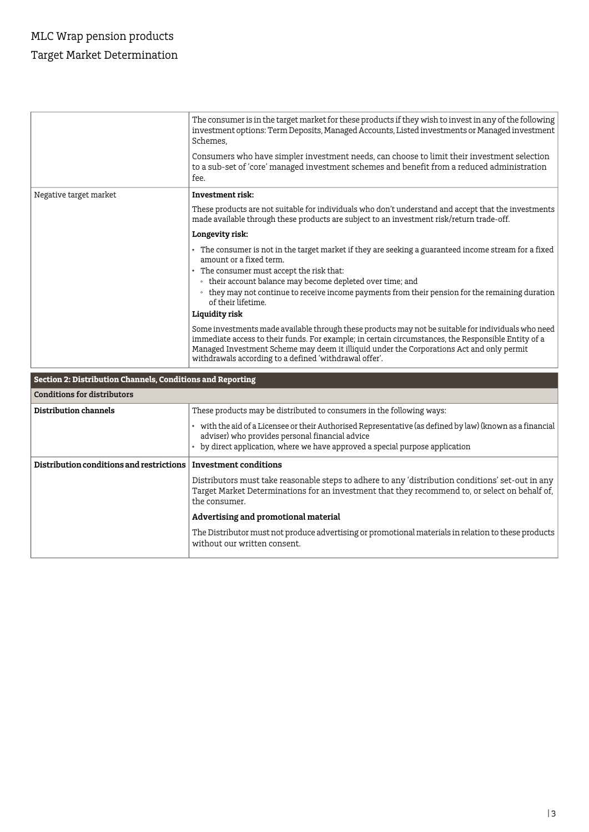## MLC Wrap pension products Target Market Determination

|                        | The consumer is in the target market for these products if they wish to invest in any of the following<br>investment options: Term Deposits, Managed Accounts, Listed investments or Managed investment<br>Schemes,<br>Consumers who have simpler investment needs, can choose to limit their investment selection<br>to a sub-set of 'core' managed investment schemes and benefit from a reduced administration<br>fee. |
|------------------------|---------------------------------------------------------------------------------------------------------------------------------------------------------------------------------------------------------------------------------------------------------------------------------------------------------------------------------------------------------------------------------------------------------------------------|
| Negative target market | Investment risk:                                                                                                                                                                                                                                                                                                                                                                                                          |
|                        | These products are not suitable for individuals who don't understand and accept that the investments<br>made available through these products are subject to an investment risk/return trade-off.                                                                                                                                                                                                                         |
|                        | Longevity risk:                                                                                                                                                                                                                                                                                                                                                                                                           |
|                        | The consumer is not in the target market if they are seeking a guaranteed income stream for a fixed<br>amount or a fixed term.                                                                                                                                                                                                                                                                                            |
|                        | The consumer must accept the risk that:                                                                                                                                                                                                                                                                                                                                                                                   |
|                        | • their account balance may become depleted over time; and<br>they may not continue to receive income payments from their pension for the remaining duration<br>$\circ$<br>of their lifetime.                                                                                                                                                                                                                             |
|                        | Liquidity risk                                                                                                                                                                                                                                                                                                                                                                                                            |
|                        | Some investments made available through these products may not be suitable for individuals who need<br>immediate access to their funds. For example; in certain circumstances, the Responsible Entity of a<br>Managed Investment Scheme may deem it illiquid under the Corporations Act and only permit<br>withdrawals according to a defined 'withdrawal offer'.                                                         |

## **Section 2: Distribution Channels, Conditions and Reporting**

| Conditions for distributors              |                                                                                                                                                                                                                                             |  |
|------------------------------------------|---------------------------------------------------------------------------------------------------------------------------------------------------------------------------------------------------------------------------------------------|--|
| Distribution channels                    | These products may be distributed to consumers in the following ways:                                                                                                                                                                       |  |
|                                          | with the aid of a Licensee or their Authorised Representative (as defined by law) (known as a financial<br>adviser) who provides personal financial advice<br>• by direct application, where we have approved a special purpose application |  |
| Distribution conditions and restrictions | <b>Investment conditions</b>                                                                                                                                                                                                                |  |
|                                          | Distributors must take reasonable steps to adhere to any 'distribution conditions' set-out in any<br>Target Market Determinations for an investment that they recommend to, or select on behalf of,<br>the consumer.                        |  |
|                                          | Advertising and promotional material                                                                                                                                                                                                        |  |
|                                          | The Distributor must not produce advertising or promotional materials in relation to these products<br>without our written consent.                                                                                                         |  |